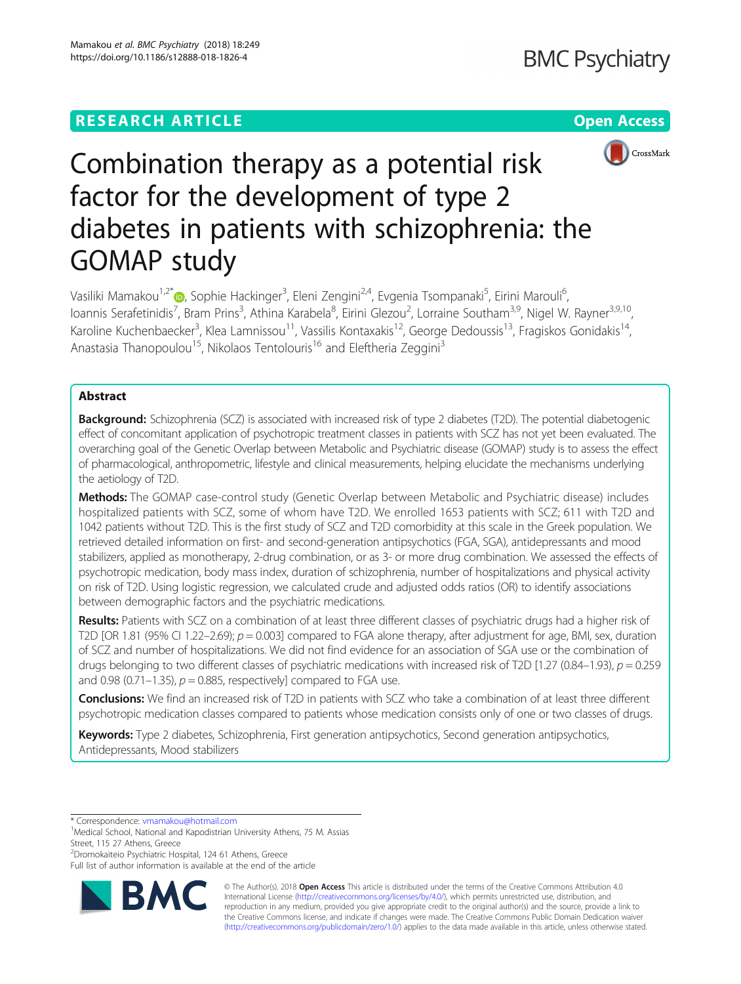# **RESEARCH ARTICLE Example 2018 12:30 THE OPEN Access**



# Combination therapy as a potential risk factor for the development of type 2 diabetes in patients with schizophrenia: the GOMAP study

Vasiliki Mamakou<sup>1[,](http://orcid.org/0000-0003-0805-9931)2\*</sup>®, Sophie Hackinger<sup>3</sup>, Eleni Zengini<sup>2,4</sup>, Evgenia Tsompanaki<sup>5</sup>, Eirini Marouli<sup>6</sup> .<br>י loannis Serafetinidis<sup>7</sup>, Bram Prins<sup>3</sup>, Athina Karabela<sup>8</sup>, Eirini Glezou<sup>2</sup>, Lorraine Southam<sup>3,9</sup>, Nigel W. Rayner<sup>3,9,10</sup>, Karoline Kuchenbaecker<sup>3</sup>, Klea Lamnissou<sup>11</sup>, Vassilis Kontaxakis<sup>12</sup>, George Dedoussis<sup>13</sup>, Fragiskos Gonidakis<sup>14</sup>, Anastasia Thanopoulou<sup>15</sup>, Nikolaos Tentolouris<sup>16</sup> and Eleftheria Zeggini<sup>3</sup>

## Abstract

Background: Schizophrenia (SCZ) is associated with increased risk of type 2 diabetes (T2D). The potential diabetogenic effect of concomitant application of psychotropic treatment classes in patients with SCZ has not yet been evaluated. The overarching goal of the Genetic Overlap between Metabolic and Psychiatric disease (GOMAP) study is to assess the effect of pharmacological, anthropometric, lifestyle and clinical measurements, helping elucidate the mechanisms underlying the aetiology of T2D.

Methods: The GOMAP case-control study (Genetic Overlap between Metabolic and Psychiatric disease) includes hospitalized patients with SCZ, some of whom have T2D. We enrolled 1653 patients with SCZ; 611 with T2D and 1042 patients without T2D. This is the first study of SCZ and T2D comorbidity at this scale in the Greek population. We retrieved detailed information on first- and second-generation antipsychotics (FGA, SGA), antidepressants and mood stabilizers, applied as monotherapy, 2-drug combination, or as 3- or more drug combination. We assessed the effects of psychotropic medication, body mass index, duration of schizophrenia, number of hospitalizations and physical activity on risk of T2D. Using logistic regression, we calculated crude and adjusted odds ratios (OR) to identify associations between demographic factors and the psychiatric medications.

Results: Patients with SCZ on a combination of at least three different classes of psychiatric drugs had a higher risk of T2D [OR 1.81 (95% CI 1.22–2.69);  $p = 0.003$ ] compared to FGA alone therapy, after adjustment for age, BMI, sex, duration of SCZ and number of hospitalizations. We did not find evidence for an association of SGA use or the combination of drugs belonging to two different classes of psychiatric medications with increased risk of T2D [1.27 (0.84–1.93),  $p = 0.259$ and 0.98 (0.71–1.35),  $p = 0.885$ , respectively] compared to FGA use.

Conclusions: We find an increased risk of T2D in patients with SCZ who take a combination of at least three different psychotropic medication classes compared to patients whose medication consists only of one or two classes of drugs.

Keywords: Type 2 diabetes, Schizophrenia, First generation antipsychotics, Second generation antipsychotics, Antidepressants, Mood stabilizers

\* Correspondence: [vmamakou@hotmail.com](mailto:vmamakou@hotmail.com) <sup>1</sup>

2 Dromokaiteio Psychiatric Hospital, 124 61 Athens, Greece

Full list of author information is available at the end of the article



© The Author(s). 2018 Open Access This article is distributed under the terms of the Creative Commons Attribution 4.0 International License [\(http://creativecommons.org/licenses/by/4.0/](http://creativecommons.org/licenses/by/4.0/)), which permits unrestricted use, distribution, and reproduction in any medium, provided you give appropriate credit to the original author(s) and the source, provide a link to the Creative Commons license, and indicate if changes were made. The Creative Commons Public Domain Dedication waiver [\(http://creativecommons.org/publicdomain/zero/1.0/](http://creativecommons.org/publicdomain/zero/1.0/)) applies to the data made available in this article, unless otherwise stated.

<sup>&</sup>lt;sup>1</sup>Medical School, National and Kapodistrian University Athens, 75 M. Assias Street, 115 27 Athens, Greece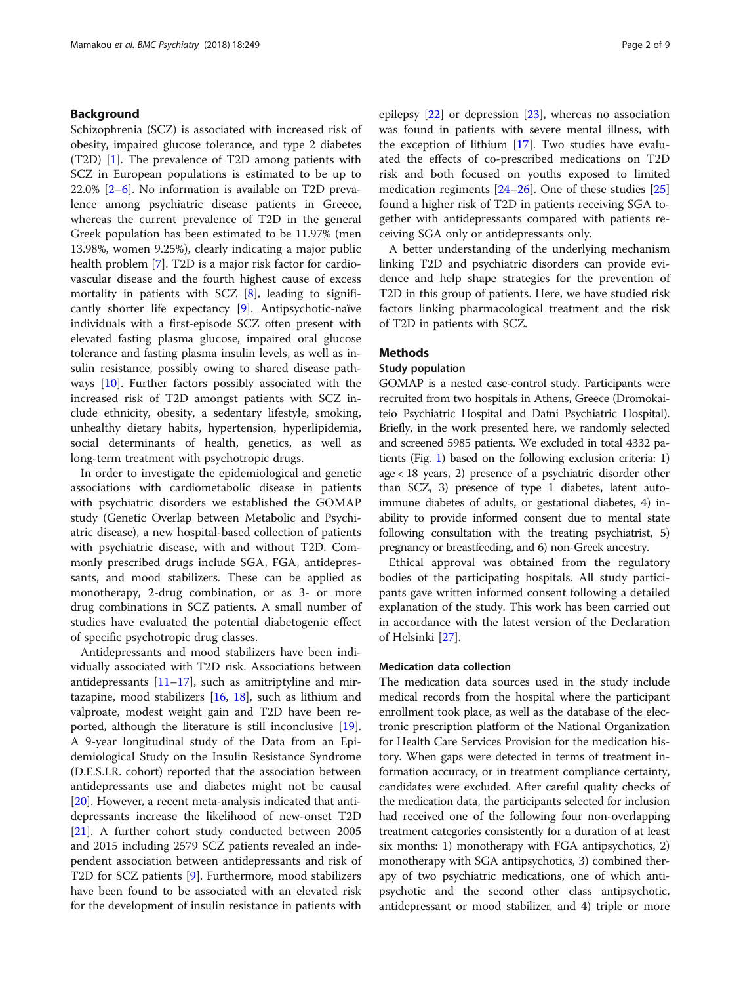#### Background

Schizophrenia (SCZ) is associated with increased risk of obesity, impaired glucose tolerance, and type 2 diabetes (T2D) [[1\]](#page-6-0). The prevalence of T2D among patients with SCZ in European populations is estimated to be up to 22.0% [\[2](#page-6-0)–[6\]](#page-6-0). No information is available on T2D prevalence among psychiatric disease patients in Greece, whereas the current prevalence of T2D in the general Greek population has been estimated to be 11.97% (men 13.98%, women 9.25%), clearly indicating a major public health problem [[7\]](#page-6-0). T2D is a major risk factor for cardiovascular disease and the fourth highest cause of excess mortality in patients with SCZ  $[8]$ , leading to significantly shorter life expectancy [\[9](#page-6-0)]. Antipsychotic-naïve individuals with a first-episode SCZ often present with elevated fasting plasma glucose, impaired oral glucose tolerance and fasting plasma insulin levels, as well as insulin resistance, possibly owing to shared disease pathways [\[10\]](#page-6-0). Further factors possibly associated with the increased risk of T2D amongst patients with SCZ include ethnicity, obesity, a sedentary lifestyle, smoking, unhealthy dietary habits, hypertension, hyperlipidemia, social determinants of health, genetics, as well as long-term treatment with psychotropic drugs.

In order to investigate the epidemiological and genetic associations with cardiometabolic disease in patients with psychiatric disorders we established the GOMAP study (Genetic Overlap between Metabolic and Psychiatric disease), a new hospital-based collection of patients with psychiatric disease, with and without T2D. Commonly prescribed drugs include SGA, FGA, antidepressants, and mood stabilizers. These can be applied as monotherapy, 2-drug combination, or as 3- or more drug combinations in SCZ patients. A small number of studies have evaluated the potential diabetogenic effect of specific psychotropic drug classes.

Antidepressants and mood stabilizers have been individually associated with T2D risk. Associations between antidepressants  $[11–17]$  $[11–17]$  $[11–17]$  $[11–17]$  $[11–17]$ , such as amitriptyline and mirtazapine, mood stabilizers [[16,](#page-7-0) [18\]](#page-7-0), such as lithium and valproate, modest weight gain and T2D have been reported, although the literature is still inconclusive [\[19](#page-7-0)]. A 9-year longitudinal study of the Data from an Epidemiological Study on the Insulin Resistance Syndrome (D.E.S.I.R. cohort) reported that the association between antidepressants use and diabetes might not be causal [[20\]](#page-7-0). However, a recent meta-analysis indicated that antidepressants increase the likelihood of new-onset T2D [[21\]](#page-7-0). A further cohort study conducted between 2005 and 2015 including 2579 SCZ patients revealed an independent association between antidepressants and risk of T2D for SCZ patients [[9\]](#page-6-0). Furthermore, mood stabilizers have been found to be associated with an elevated risk for the development of insulin resistance in patients with epilepsy [\[22\]](#page-7-0) or depression [[23\]](#page-7-0), whereas no association was found in patients with severe mental illness, with the exception of lithium [[17](#page-7-0)]. Two studies have evaluated the effects of co-prescribed medications on T2D risk and both focused on youths exposed to limited medication regiments [\[24](#page-7-0)–[26\]](#page-7-0). One of these studies [[25](#page-7-0)] found a higher risk of T2D in patients receiving SGA together with antidepressants compared with patients receiving SGA only or antidepressants only.

A better understanding of the underlying mechanism linking T2D and psychiatric disorders can provide evidence and help shape strategies for the prevention of T2D in this group of patients. Here, we have studied risk factors linking pharmacological treatment and the risk of T2D in patients with SCZ.

### Methods

#### Study population

GOMAP is a nested case-control study. Participants were recruited from two hospitals in Athens, Greece (Dromokaiteio Psychiatric Hospital and Dafni Psychiatric Hospital). Briefly, in the work presented here, we randomly selected and screened 5985 patients. We excluded in total 4332 patients (Fig. [1](#page-2-0)) based on the following exclusion criteria: 1) age < 18 years, 2) presence of a psychiatric disorder other than SCZ, 3) presence of type 1 diabetes, latent autoimmune diabetes of adults, or gestational diabetes, 4) inability to provide informed consent due to mental state following consultation with the treating psychiatrist, 5) pregnancy or breastfeeding, and 6) non-Greek ancestry.

Ethical approval was obtained from the regulatory bodies of the participating hospitals. All study participants gave written informed consent following a detailed explanation of the study. This work has been carried out in accordance with the latest version of the Declaration of Helsinki [[27](#page-7-0)].

#### Medication data collection

The medication data sources used in the study include medical records from the hospital where the participant enrollment took place, as well as the database of the electronic prescription platform of the National Organization for Health Care Services Provision for the medication history. When gaps were detected in terms of treatment information accuracy, or in treatment compliance certainty, candidates were excluded. After careful quality checks of the medication data, the participants selected for inclusion had received one of the following four non-overlapping treatment categories consistently for a duration of at least six months: 1) monotherapy with FGA antipsychotics, 2) monotherapy with SGA antipsychotics, 3) combined therapy of two psychiatric medications, one of which antipsychotic and the second other class antipsychotic, antidepressant or mood stabilizer, and 4) triple or more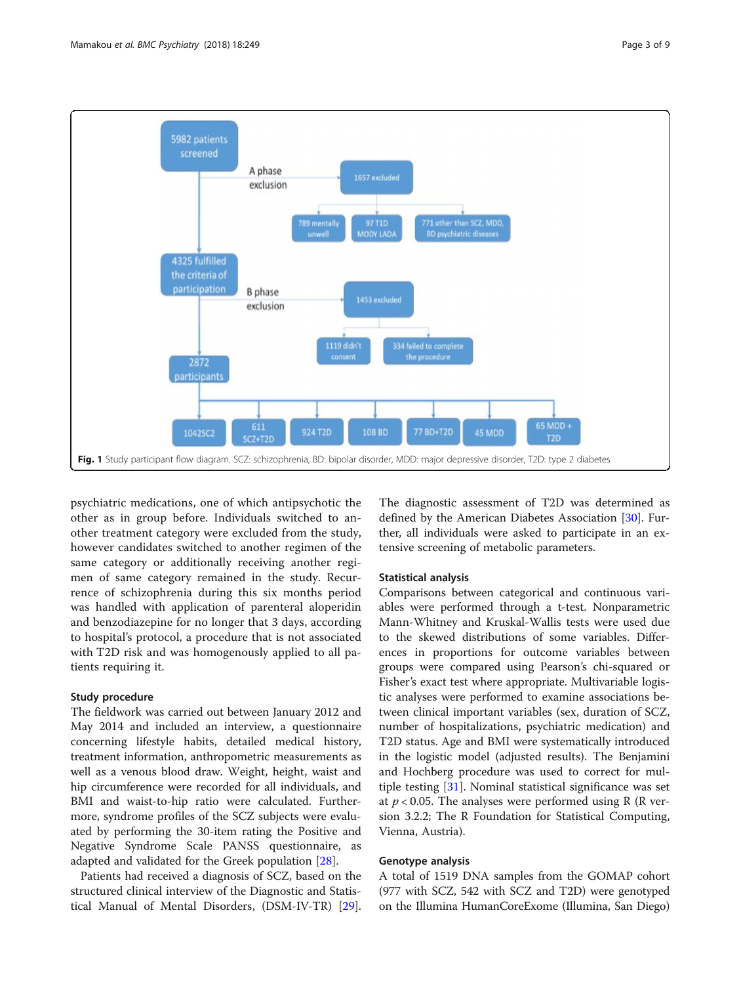<span id="page-2-0"></span>

psychiatric medications, one of which antipsychotic the other as in group before. Individuals switched to another treatment category were excluded from the study, however candidates switched to another regimen of the same category or additionally receiving another regimen of same category remained in the study. Recurrence of schizophrenia during this six months period was handled with application of parenteral aloperidin and benzodiazepine for no longer that 3 days, according to hospital's protocol, a procedure that is not associated with T2D risk and was homogenously applied to all patients requiring it.

#### Study procedure

The fieldwork was carried out between January 2012 and May 2014 and included an interview, a questionnaire concerning lifestyle habits, detailed medical history, treatment information, anthropometric measurements as well as a venous blood draw. Weight, height, waist and hip circumference were recorded for all individuals, and BMI and waist-to-hip ratio were calculated. Furthermore, syndrome profiles of the SCZ subjects were evaluated by performing the 30-item rating the Positive and Negative Syndrome Scale PANSS questionnaire, as adapted and validated for the Greek population [\[28\]](#page-7-0).

Patients had received a diagnosis of SCZ, based on the structured clinical interview of the Diagnostic and Statistical Manual of Mental Disorders, (DSM-IV-TR) [\[29](#page-7-0)]. The diagnostic assessment of T2D was determined as defined by the American Diabetes Association [[30](#page-7-0)]. Further, all individuals were asked to participate in an extensive screening of metabolic parameters.

#### Statistical analysis

Comparisons between categorical and continuous variables were performed through a t-test. Nonparametric Mann-Whitney and Kruskal-Wallis tests were used due to the skewed distributions of some variables. Differences in proportions for outcome variables between groups were compared using Pearson's chi-squared or Fisher's exact test where appropriate. Multivariable logistic analyses were performed to examine associations between clinical important variables (sex, duration of SCZ, number of hospitalizations, psychiatric medication) and T2D status. Age and BMI were systematically introduced in the logistic model (adjusted results). The Benjamini and Hochberg procedure was used to correct for multiple testing [[31](#page-7-0)]. Nominal statistical significance was set at  $p < 0.05$ . The analyses were performed using R (R version 3.2.2; The R Foundation for Statistical Computing, Vienna, Austria).

#### Genotype analysis

A total of 1519 DNA samples from the GOMAP cohort (977 with SCZ, 542 with SCZ and T2D) were genotyped on the Illumina HumanCoreExome (Illumina, San Diego)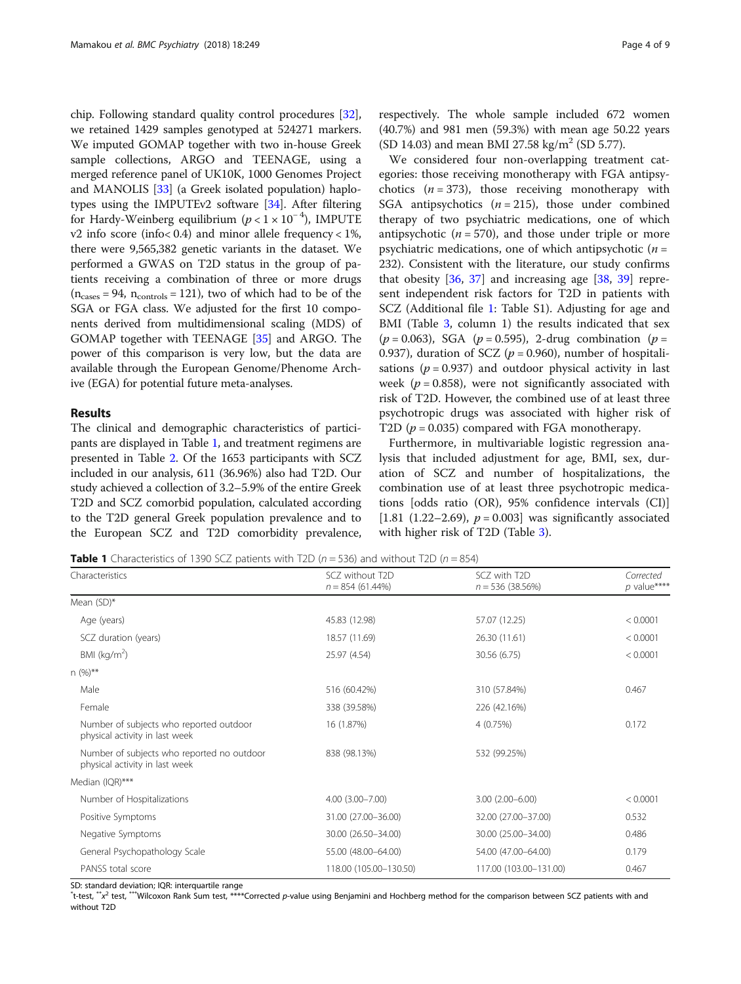chip. Following standard quality control procedures [[32](#page-7-0)], we retained 1429 samples genotyped at 524271 markers. We imputed GOMAP together with two in-house Greek sample collections, ARGO and TEENAGE, using a merged reference panel of UK10K, 1000 Genomes Project and MANOLIS [\[33\]](#page-7-0) (a Greek isolated population) haplotypes using the IMPUTEv2 software [\[34\]](#page-7-0). After filtering for Hardy-Weinberg equilibrium  $(p < 1 \times 10^{-4})$ , IMPUTE v2 info score (info< 0.4) and minor allele frequency < 1%, there were 9,565,382 genetic variants in the dataset. We performed a GWAS on T2D status in the group of patients receiving a combination of three or more drugs  $(n_{cases} = 94, n_{controls} = 121)$ , two of which had to be of the SGA or FGA class. We adjusted for the first 10 components derived from multidimensional scaling (MDS) of GOMAP together with TEENAGE [[35](#page-7-0)] and ARGO. The power of this comparison is very low, but the data are available through the European Genome/Phenome Archive (EGA) for potential future meta-analyses.

#### Results

The clinical and demographic characteristics of participants are displayed in Table 1, and treatment regimens are presented in Table [2](#page-4-0). Of the 1653 participants with SCZ included in our analysis, 611 (36.96%) also had T2D. Our study achieved a collection of 3.2–5.9% of the entire Greek T2D and SCZ comorbid population, calculated according to the T2D general Greek population prevalence and to the European SCZ and T2D comorbidity prevalence, respectively. The whole sample included 672 women (40.7%) and 981 men (59.3%) with mean age 50.22 years (SD 14.03) and mean BMI 27.58 kg/m<sup>2</sup> (SD 5.77).

We considered four non-overlapping treatment categories: those receiving monotherapy with FGA antipsychotics  $(n = 373)$ , those receiving monotherapy with SGA antipsychotics  $(n = 215)$ , those under combined therapy of two psychiatric medications, one of which antipsychotic ( $n = 570$ ), and those under triple or more psychiatric medications, one of which antipsychotic  $(n =$ 232). Consistent with the literature, our study confirms that obesity  $[36, 37]$  $[36, 37]$  $[36, 37]$  $[36, 37]$  $[36, 37]$  and increasing age  $[38, 39]$  $[38, 39]$  $[38, 39]$  $[38, 39]$  represent independent risk factors for T2D in patients with SCZ (Additional file [1](#page-5-0): Table S1). Adjusting for age and BMI (Table [3,](#page-4-0) column 1) the results indicated that sex  $(p = 0.063)$ , SGA  $(p = 0.595)$ , 2-drug combination  $(p = 0.063)$ 0.937), duration of SCZ ( $p = 0.960$ ), number of hospitalisations ( $p = 0.937$ ) and outdoor physical activity in last week ( $p = 0.858$ ), were not significantly associated with risk of T2D. However, the combined use of at least three psychotropic drugs was associated with higher risk of T2D ( $p = 0.035$ ) compared with FGA monotherapy.

Furthermore, in multivariable logistic regression analysis that included adjustment for age, BMI, sex, duration of SCZ and number of hospitalizations, the combination use of at least three psychotropic medications [odds ratio (OR), 95% confidence intervals (CI)] [1.81 (1.22–2.69),  $p = 0.003$ ] was significantly associated with higher risk of T2D (Table [3](#page-4-0)).

**Table 1** Characteristics of 1390 SCZ patients with T2D ( $n = 536$ ) and without T2D ( $n = 854$ )

| Characteristics                                                              | SCZ without T2D<br>$n = 854(61.44\%)$ | SCZ with T <sub>2D</sub><br>$n = 536$ (38.56%) | Corrected<br>$p$ value**** |
|------------------------------------------------------------------------------|---------------------------------------|------------------------------------------------|----------------------------|
| Mean $(SD)^*$                                                                |                                       |                                                |                            |
| Age (years)                                                                  | 45.83 (12.98)                         | 57.07 (12.25)                                  | < 0.0001                   |
| SCZ duration (years)                                                         | 18.57 (11.69)                         | 26.30 (11.61)                                  | < 0.0001                   |
| BMI ( $kg/m2$ )                                                              | 25.97 (4.54)                          | 30.56 (6.75)                                   | < 0.0001                   |
| $n (%)**$                                                                    |                                       |                                                |                            |
| Male                                                                         | 516 (60.42%)                          | 310 (57.84%)                                   | 0.467                      |
| Female                                                                       | 338 (39.58%)                          | 226 (42.16%)                                   |                            |
| Number of subjects who reported outdoor<br>physical activity in last week    | 16 (1.87%)                            | 4(0.75%)                                       | 0.172                      |
| Number of subjects who reported no outdoor<br>physical activity in last week | 838 (98.13%)                          | 532 (99.25%)                                   |                            |
| Median (IQR)***                                                              |                                       |                                                |                            |
| Number of Hospitalizations                                                   | 4.00 (3.00-7.00)                      | $3.00(2.00 - 6.00)$                            | < 0.0001                   |
| Positive Symptoms                                                            | 31.00 (27.00-36.00)                   | 32.00 (27.00-37.00)                            | 0.532                      |
| Negative Symptoms                                                            | 30.00 (26.50-34.00)                   | 30.00 (25.00-34.00)                            | 0.486                      |
| General Psychopathology Scale                                                | 55.00 (48.00-64.00)                   | 54.00 (47.00-64.00)                            | 0.179                      |
| PANSS total score                                                            | 118.00 (105.00-130.50)                | 117.00 (103.00-131.00)                         | 0.467                      |

SD: standard deviation; IQR: interquartile range

 $\check{ }$ t-test,  $\check{ }$ \*\*Wilcoxon Rank Sum test, \*\*\*\*Corrected p-value using Benjamini and Hochberg method for the comparison between SCZ patients with and without T2D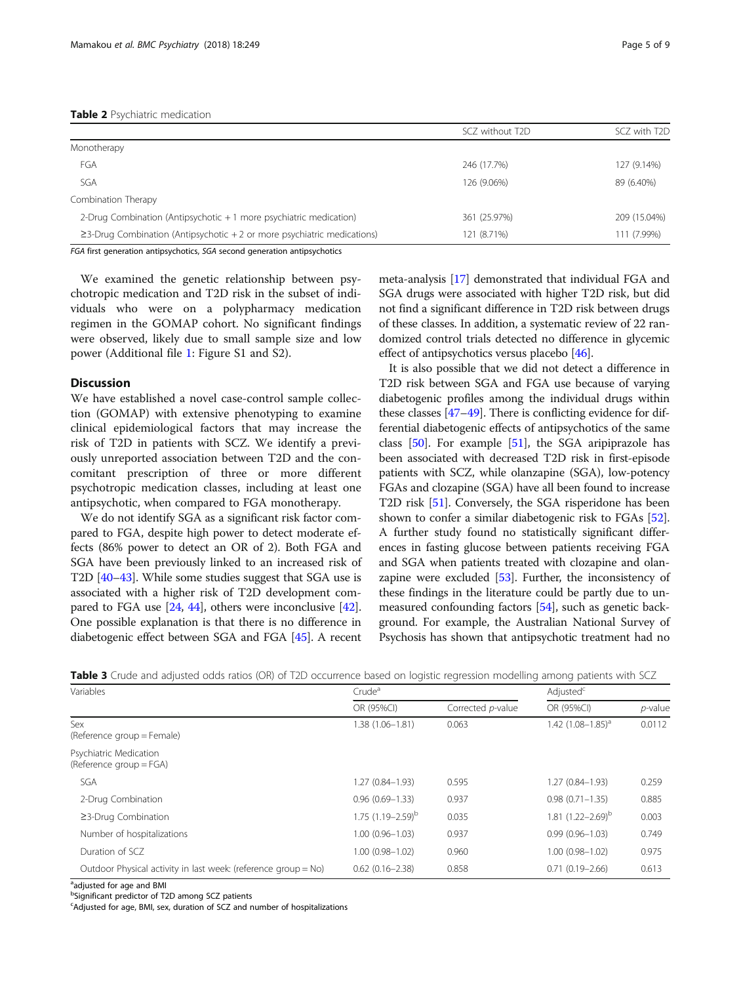<span id="page-4-0"></span>

|                                                                               | SCZ without T2D | SCZ with T2D |
|-------------------------------------------------------------------------------|-----------------|--------------|
| Monotherapy                                                                   |                 |              |
| FGA                                                                           | 246 (17.7%)     | 127 (9.14%)  |
| SGA                                                                           | 126 (9.06%)     | 89 (6.40%)   |
| Combination Therapy                                                           |                 |              |
| 2-Drug Combination (Antipsychotic $+1$ more psychiatric medication)           | 361 (25.97%)    | 209 (15.04%) |
| $\geq$ 3-Drug Combination (Antipsychotic + 2 or more psychiatric medications) | 121 (8.71%)     | 111 (7.99%)  |
|                                                                               |                 |              |

FGA first generation antipsychotics, SGA second generation antipsychotics

We examined the genetic relationship between psychotropic medication and T2D risk in the subset of individuals who were on a polypharmacy medication regimen in the GOMAP cohort. No significant findings were observed, likely due to small sample size and low power (Additional file [1](#page-5-0): Figure S1 and S2).

#### **Discussion**

We have established a novel case-control sample collection (GOMAP) with extensive phenotyping to examine clinical epidemiological factors that may increase the risk of T2D in patients with SCZ. We identify a previously unreported association between T2D and the concomitant prescription of three or more different psychotropic medication classes, including at least one antipsychotic, when compared to FGA monotherapy.

We do not identify SGA as a significant risk factor compared to FGA, despite high power to detect moderate effects (86% power to detect an OR of 2). Both FGA and SGA have been previously linked to an increased risk of T2D [\[40](#page-7-0)–[43](#page-7-0)]. While some studies suggest that SGA use is associated with a higher risk of T2D development compared to FGA use [\[24,](#page-7-0) [44\]](#page-7-0), others were inconclusive [[42](#page-7-0)]. One possible explanation is that there is no difference in diabetogenic effect between SGA and FGA [\[45\]](#page-7-0). A recent meta-analysis [\[17\]](#page-7-0) demonstrated that individual FGA and SGA drugs were associated with higher T2D risk, but did not find a significant difference in T2D risk between drugs of these classes. In addition, a systematic review of 22 randomized control trials detected no difference in glycemic effect of antipsychotics versus placebo [\[46\]](#page-7-0).

It is also possible that we did not detect a difference in T2D risk between SGA and FGA use because of varying diabetogenic profiles among the individual drugs within these classes [\[47](#page-7-0)–[49\]](#page-7-0). There is conflicting evidence for differential diabetogenic effects of antipsychotics of the same class [\[50](#page-7-0)]. For example [[51](#page-8-0)], the SGA aripiprazole has been associated with decreased T2D risk in first-episode patients with SCZ, while olanzapine (SGA), low-potency FGAs and clozapine (SGA) have all been found to increase T2D risk [[51](#page-8-0)]. Conversely, the SGA risperidone has been shown to confer a similar diabetogenic risk to FGAs [[52](#page-8-0)]. A further study found no statistically significant differences in fasting glucose between patients receiving FGA and SGA when patients treated with clozapine and olanzapine were excluded [\[53\]](#page-8-0). Further, the inconsistency of these findings in the literature could be partly due to unmeasured confounding factors [[54\]](#page-8-0), such as genetic background. For example, the Australian National Survey of Psychosis has shown that antipsychotic treatment had no

| Variables                                                      | Crude <sup>a</sup>                |                   | Adjusted <sup>c</sup>         |            |
|----------------------------------------------------------------|-----------------------------------|-------------------|-------------------------------|------------|
|                                                                | OR (95%CI)                        | Corrected p-value | OR (95%CI)                    | $p$ -value |
| Sex<br>(Reference group = Female)                              | 1.38 (1.06-1.81)                  | 0.063             | 1.42 (1.08–1.85) <sup>a</sup> | 0.0112     |
| Psychiatric Medication<br>(Reference group = FGA)              |                                   |                   |                               |            |
| SGA                                                            | $1.27(0.84 - 1.93)$               | 0.595             | 1.27 (0.84-1.93)              | 0.259      |
| 2-Drug Combination                                             | $0.96(0.69 - 1.33)$               | 0.937             | $0.98(0.71 - 1.35)$           | 0.885      |
| $\geq$ 3-Drug Combination                                      | $1.75$ (1.19 - 2.59) <sup>b</sup> | 0.035             | 1.81 $(1.22 - 2.69)^b$        | 0.003      |
| Number of hospitalizations                                     | $1.00(0.96 - 1.03)$               | 0.937             | $0.99(0.96 - 1.03)$           | 0.749      |
| Duration of SCZ                                                | $1.00(0.98 - 1.02)$               | 0.960             | $1.00(0.98 - 1.02)$           | 0.975      |
| Outdoor Physical activity in last week: (reference group = No) | $0.62(0.16 - 2.38)$               | 0.858             | $0.71(0.19 - 2.66)$           | 0.613      |

Table 3 Crude and adjusted odds ratios (OR) of T2D occurrence based on logistic regression modelling among patients with SCZ

<sup>a</sup>adjusted for age and BMI

**b**Significant predictor of T2D among SCZ patients

Adjusted for age, BMI, sex, duration of SCZ and number of hospitalizations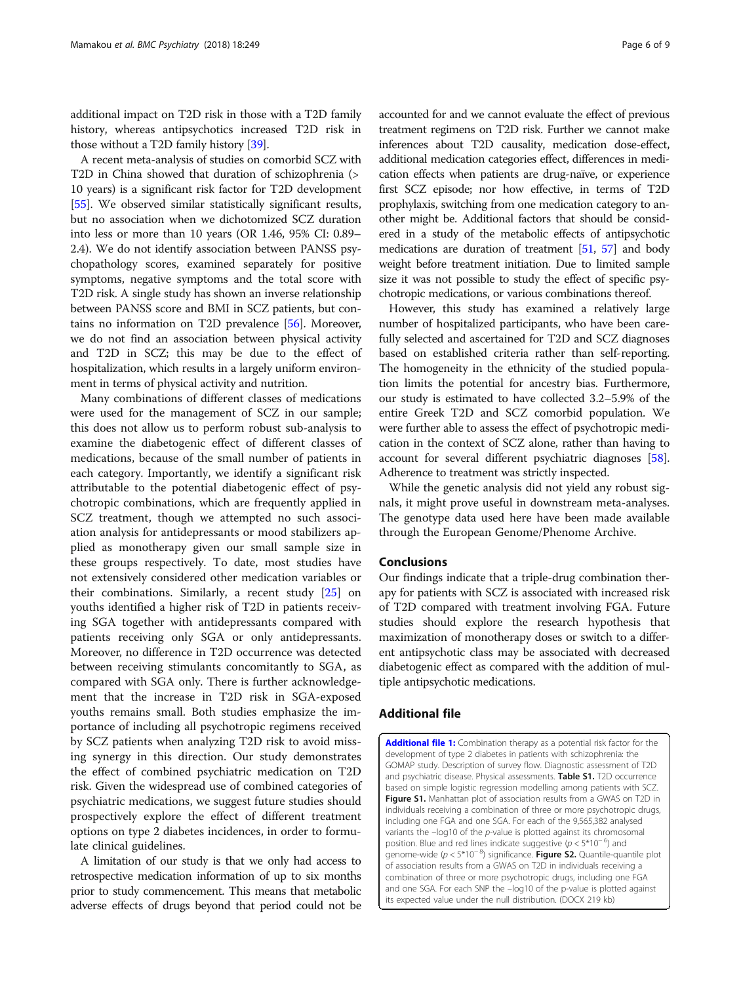<span id="page-5-0"></span>additional impact on T2D risk in those with a T2D family history, whereas antipsychotics increased T2D risk in those without a T2D family history [[39](#page-7-0)].

A recent meta-analysis of studies on comorbid SCZ with T2D in China showed that duration of schizophrenia (> 10 years) is a significant risk factor for T2D development [[55](#page-8-0)]. We observed similar statistically significant results, but no association when we dichotomized SCZ duration into less or more than 10 years (OR 1.46, 95% CI: 0.89– 2.4). We do not identify association between PANSS psychopathology scores, examined separately for positive symptoms, negative symptoms and the total score with T2D risk. A single study has shown an inverse relationship between PANSS score and BMI in SCZ patients, but contains no information on T2D prevalence [\[56\]](#page-8-0). Moreover, we do not find an association between physical activity and T2D in SCZ; this may be due to the effect of hospitalization, which results in a largely uniform environment in terms of physical activity and nutrition.

Many combinations of different classes of medications were used for the management of SCZ in our sample; this does not allow us to perform robust sub-analysis to examine the diabetogenic effect of different classes of medications, because of the small number of patients in each category. Importantly, we identify a significant risk attributable to the potential diabetogenic effect of psychotropic combinations, which are frequently applied in SCZ treatment, though we attempted no such association analysis for antidepressants or mood stabilizers applied as monotherapy given our small sample size in these groups respectively. To date, most studies have not extensively considered other medication variables or their combinations. Similarly, a recent study [\[25](#page-7-0)] on youths identified a higher risk of T2D in patients receiving SGA together with antidepressants compared with patients receiving only SGA or only antidepressants. Moreover, no difference in T2D occurrence was detected between receiving stimulants concomitantly to SGA, as compared with SGA only. There is further acknowledgement that the increase in T2D risk in SGA-exposed youths remains small. Both studies emphasize the importance of including all psychotropic regimens received by SCZ patients when analyzing T2D risk to avoid missing synergy in this direction. Our study demonstrates the effect of combined psychiatric medication on T2D risk. Given the widespread use of combined categories of psychiatric medications, we suggest future studies should prospectively explore the effect of different treatment options on type 2 diabetes incidences, in order to formulate clinical guidelines.

A limitation of our study is that we only had access to retrospective medication information of up to six months prior to study commencement. This means that metabolic adverse effects of drugs beyond that period could not be accounted for and we cannot evaluate the effect of previous treatment regimens on T2D risk. Further we cannot make inferences about T2D causality, medication dose-effect, additional medication categories effect, differences in medication effects when patients are drug-naïve, or experience first SCZ episode; nor how effective, in terms of T2D prophylaxis, switching from one medication category to another might be. Additional factors that should be considered in a study of the metabolic effects of antipsychotic medications are duration of treatment [[51](#page-8-0), [57](#page-8-0)] and body weight before treatment initiation. Due to limited sample size it was not possible to study the effect of specific psychotropic medications, or various combinations thereof.

However, this study has examined a relatively large number of hospitalized participants, who have been carefully selected and ascertained for T2D and SCZ diagnoses based on established criteria rather than self-reporting. The homogeneity in the ethnicity of the studied population limits the potential for ancestry bias. Furthermore, our study is estimated to have collected 3.2–5.9% of the entire Greek T2D and SCZ comorbid population. We were further able to assess the effect of psychotropic medication in the context of SCZ alone, rather than having to account for several different psychiatric diagnoses [[58](#page-8-0)]. Adherence to treatment was strictly inspected.

While the genetic analysis did not yield any robust signals, it might prove useful in downstream meta-analyses. The genotype data used here have been made available through the European Genome/Phenome Archive.

#### Conclusions

Our findings indicate that a triple-drug combination therapy for patients with SCZ is associated with increased risk of T2D compared with treatment involving FGA. Future studies should explore the research hypothesis that maximization of monotherapy doses or switch to a different antipsychotic class may be associated with decreased diabetogenic effect as compared with the addition of multiple antipsychotic medications.

#### Additional file

[Additional file 1:](https://doi.org/10.1186/s12888-018-1826-4) Combination therapy as a potential risk factor for the development of type 2 diabetes in patients with schizophrenia: the GOMAP study. Description of survey flow. Diagnostic assessment of T2D and psychiatric disease. Physical assessments. Table S1. T2D occurrence based on simple logistic regression modelling among patients with SCZ. Figure S1. Manhattan plot of association results from a GWAS on T2D in individuals receiving a combination of three or more psychotropic drugs, including one FGA and one SGA. For each of the 9,565,382 analysed variants the  $-\log 10$  of the  $p$ -value is plotted against its chromosomal position. Blue and red lines indicate suggestive  $(p < 5*10^{-6})$  and oenome-wide (p < 5\*10<sup>-8</sup>) significance. Figure S2. Quantile-quantile plot of association results from a GWAS on T2D in individuals receiving a combination of three or more psychotropic drugs, including one FGA and one SGA. For each SNP the –log10 of the p-value is plotted against its expected value under the null distribution. (DOCX 219 kb)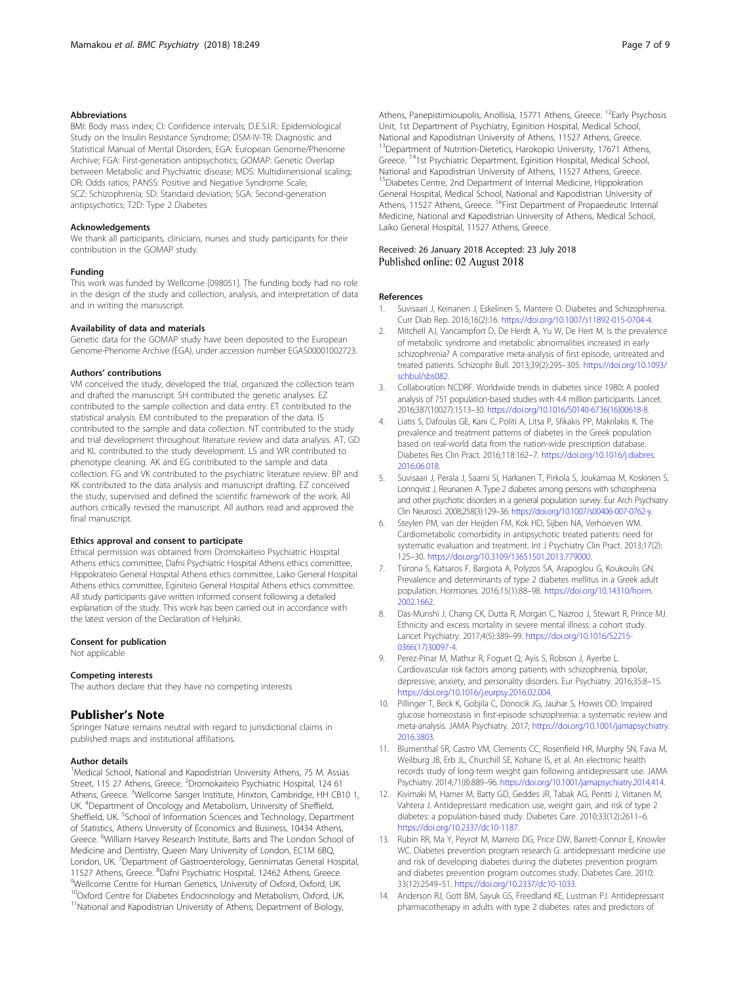#### <span id="page-6-0"></span>Abbreviations

BMI: Body mass index; CI: Confidence intervals; D.E.S.I.R.: Epidemiological Study on the Insulin Resistance Syndrome; DSM-IV-TR: Diagnostic and Statistical Manual of Mental Disorders; EGA: European Genome/Phenome Archive; FGA: First-generation antipsychotics; GOMAP: Genetic Overlap between Metabolic and Psychiatric disease; MDS: Multidimensional scaling; OR: Odds ratios; PANSS: Positive and Negative Syndrome Scale; SCZ: Schizophrenia; SD: Standard deviation; SGA: Second-generation antipsychotics; T2D: Type 2 Diabetes

#### Acknowledgements

We thank all participants, clinicians, nurses and study participants for their contribution in the GOMAP study.

#### Funding

This work was funded by Wellcome [098051]. The funding body had no role in the design of the study and collection, analysis, and interpretation of data and in writing the manuscript.

#### Availability of data and materials

Genetic data for the GOMAP study have been deposited to the European Genome-Phenome Archive (EGA), under accession number EGAS00001002723.

#### Authors' contributions

VM conceived the study, developed the trial, organized the collection team and drafted the manuscript. SH contributed the genetic analyses. EZ contributed to the sample collection and data entry. ET contributed to the statistical analysis. EM contributed to the preparation of the data. IS contributed to the sample and data collection. NT contributed to the study and trial development throughout literature review and data analysis. AT, GD and KL contributed to the study development. LS and WR contributed to phenotype cleaning. AK and EG contributed to the sample and data collection. FG and VK contributed to the psychiatric literature review. BP and KK contributed to the data analysis and manuscript drafting. EZ conceived the study, supervised and defined the scientific framework of the work. All authors critically revised the manuscript. All authors read and approved the final manuscript.

#### Ethics approval and consent to participate

Ethical permission was obtained from Dromokaiteio Psychiatric Hospital Athens ethics committee, Dafni Psychiatric Hospital Athens ethics committee, Hippokrateio General Hospital Athens ethics committee, Laiko General Hospital Athens ethics committee, Eginiteio General Hospital Athens ethics committee. All study participants gave written informed consent following a detailed explanation of the study. This work has been carried out in accordance with the latest version of the Declaration of Helsinki.

#### Consent for publication

Not applicable

#### Competing interests

The authors declare that they have no competing interests

#### Publisher's Note

Springer Nature remains neutral with regard to jurisdictional claims in published maps and institutional affiliations.

#### Author details

<sup>1</sup>Medical School, National and Kapodistrian University Athens, 75 M. Assias Street, 115 27 Athens, Greece. <sup>2</sup>Dromokaiteio Psychiatric Hospital, 124 61 Athens, Greece. <sup>3</sup>Wellcome Sanger Institute, Hinxton, Cambridge, HH CB10 1, UK. <sup>4</sup> Department of Oncology and Metabolism, University of Sheffield, Sheffield, UK. <sup>5</sup>School of Information Sciences and Technology, Department of Statistics, Athens University of Economics and Business, 10434 Athens, Greece. <sup>6</sup>William Harvey Research Institute, Barts and The London School of Medicine and Dentistry, Queen Mary University of London, EC1M 6BQ, London, UK. <sup>7</sup>Department of Gastroenterology, Gennimatas General Hospital, 11527 Athens, Greece. <sup>8</sup>Dafni Psychiatric Hospital, 12462 Athens, Greece.<br><sup>9</sup>Wellcome Contre for Human Gonetics, University of Oxford, Oxford, UK. Wellcome Centre for Human Genetics, University of Oxford, Oxford, UK. 10Oxford Centre for Diabetes Endocrinology and Metabolism, Oxford, UK. <sup>11</sup>National and Kapodistrian University of Athens, Department of Biology,

Athens, Panepistimioupolis, Anollisia, 15771 Athens, Greece. <sup>12</sup>Early Psychosis Unit, 1st Department of Psychiatry, Eginition Hospital, Medical School, National and Kapodistrian University of Athens, 11527 Athens, Greece. <sup>13</sup>Department of Nutrition-Dietetics, Harokopio University, 17671 Athens, Greece. <sup>14</sup>1st Psychiatric Department, Eginition Hospital, Medical School, National and Kapodistrian University of Athens, 11527 Athens, Greece. <sup>15</sup>Diabetes Centre, 2nd Department of Internal Medicine, Hippokration General Hospital, Medical School, National and Kapodistrian University of Athens, 11527 Athens, Greece. <sup>16</sup>First Department of Propaedeutic Internal Medicine, National and Kapodistrian University of Athens, Medical School, Laiko General Hospital, 11527 Athens, Greece.

#### Received: 26 January 2018 Accepted: 23 July 2018 Published online: 02 August 2018

#### References

- 1. Suvisaari J, Keinanen J, Eskelinen S, Mantere O. Diabetes and Schizophrenia. Curr Diab Rep. 2016;16(2):16. [https://doi.org/10.1007/s11892-015-0704-4.](https://doi.org/10.1007/s11892-015-0704-4)
- 2. Mitchell AJ, Vancampfort D, De Herdt A, Yu W, De Hert M. Is the prevalence of metabolic syndrome and metabolic abnormalities increased in early schizophrenia? A comparative meta-analysis of first episode, untreated and treated patients. Schizophr Bull. 2013;39(2):295–305. [https://doi.org/10.1093/](https://doi.org/10.1093/schbul/sbs082) [schbul/sbs082](https://doi.org/10.1093/schbul/sbs082).
- 3. Collaboration NCDRF. Worldwide trends in diabetes since 1980: A pooled analysis of 751 population-based studies with 4.4 million participants. Lancet. 2016;387(10027):1513–30. [https://doi.org/10.1016/S0140-6736\(16\)00618-8.](https://doi.org/10.1016/S0140-6736(16)00618-8)
- 4. Liatis S, Dafoulas GE, Kani C, Politi A, Litsa P, Sfikakis PP, Makrilakis K. The prevalence and treatment patterns of diabetes in the Greek population based on real-world data from the nation-wide prescription database. Diabetes Res Clin Pract. 2016;118:162–7. [https://doi.org/10.1016/j.diabres.](https://doi.org/10.1016/j.diabres.2016.06.018) [2016.06.018.](https://doi.org/10.1016/j.diabres.2016.06.018)
- 5. Suvisaari J, Perala J, Saarni SI, Harkanen T, Pirkola S, Joukamaa M, Koskinen S, Lonnqvist J, Reunanen A. Type 2 diabetes among persons with schizophrenia and other psychotic disorders in a general population survey. Eur Arch Psychiatry Clin Neurosci. 2008;258(3):129–36. [https://doi.org/10.1007/s00406-007-0762-y.](https://doi.org/10.1007/s00406-007-0762-y)
- 6. Steylen PM, van der Heijden FM, Kok HD, Sijben NA, Verhoeven WM. Cardiometabolic comorbidity in antipsychotic treated patients: need for systematic evaluation and treatment. Int J Psychiatry Clin Pract. 2013;17(2): 125–30. [https://doi.org/10.3109/13651501.2013.779000.](https://doi.org/10.3109/13651501.2013.779000)
- 7. Tsirona S, Katsaros F, Bargiota A, Polyzos SA, Arapoglou G, Koukoulis GN. Prevalence and determinants of type 2 diabetes mellitus in a Greek adult population. Hormones. 2016;15(1):88–98. [https://doi.org/10.14310/horm.](https://doi.org/10.14310/horm.2002.1662) [2002.1662](https://doi.org/10.14310/horm.2002.1662).
- 8. Das-Munshi J, Chang CK, Dutta R, Morgan C, Nazroo J, Stewart R, Prince MJ. Ethnicity and excess mortality in severe mental illness: a cohort study. Lancet Psychiatry. 2017;4(5):389–99. [https://doi.org/10.1016/S2215-](https://doi.org/10.1016/S2215-0366(17)30097-4) [0366\(17\)30097-4](https://doi.org/10.1016/S2215-0366(17)30097-4).
- 9. Perez-Pinar M, Mathur R, Foguet Q, Ayis S, Robson J, Ayerbe L. Cardiovascular risk factors among patients with schizophrenia, bipolar, depressive, anxiety, and personality disorders. Eur Psychiatry. 2016;35:8–15. [https://doi.org/10.1016/j.eurpsy.2016.02.004.](https://doi.org/10.1016/j.eurpsy.2016.02.004)
- 10. Pillinger T, Beck K, Gobjila C, Donocik JG, Jauhar S, Howes OD. Impaired glucose homeostasis in first-episode schizophrenia: a systematic review and meta-analysis. JAMA Psychiatry. 2017; [https://doi.org/10.1001/jamapsychiatry.](https://doi.org/10.1001/jamapsychiatry.2016.3803) [2016.3803](https://doi.org/10.1001/jamapsychiatry.2016.3803).
- 11. Blumenthal SR, Castro VM, Clements CC, Rosenfield HR, Murphy SN, Fava M, Weilburg JB, Erb JL, Churchill SE, Kohane IS, et al. An electronic health records study of long-term weight gain following antidepressant use. JAMA Psychiatry. 2014;71(8):889–96. <https://doi.org/10.1001/jamapsychiatry.2014.414>.
- 12. Kivimaki M, Hamer M, Batty GD, Geddes JR, Tabak AG, Pentti J, Virtanen M, Vahtera J. Antidepressant medication use, weight gain, and risk of type 2 diabetes: a population-based study. Diabetes Care. 2010;33(12):2611–6. <https://doi.org/10.2337/dc10-1187>.
- 13. Rubin RR, Ma Y, Peyrot M, Marrero DG, Price DW, Barrett-Connor E, Knowler WC. Diabetes prevention program research G: antidepressant medicine use and risk of developing diabetes during the diabetes prevention program and diabetes prevention program outcomes study. Diabetes Care. 2010; 33(12):2549–51. <https://doi.org/10.2337/dc10-1033>.
- 14. Anderson RJ, Gott BM, Sayuk GS, Freedland KE, Lustman PJ. Antidepressant pharmacotherapy in adults with type 2 diabetes: rates and predictors of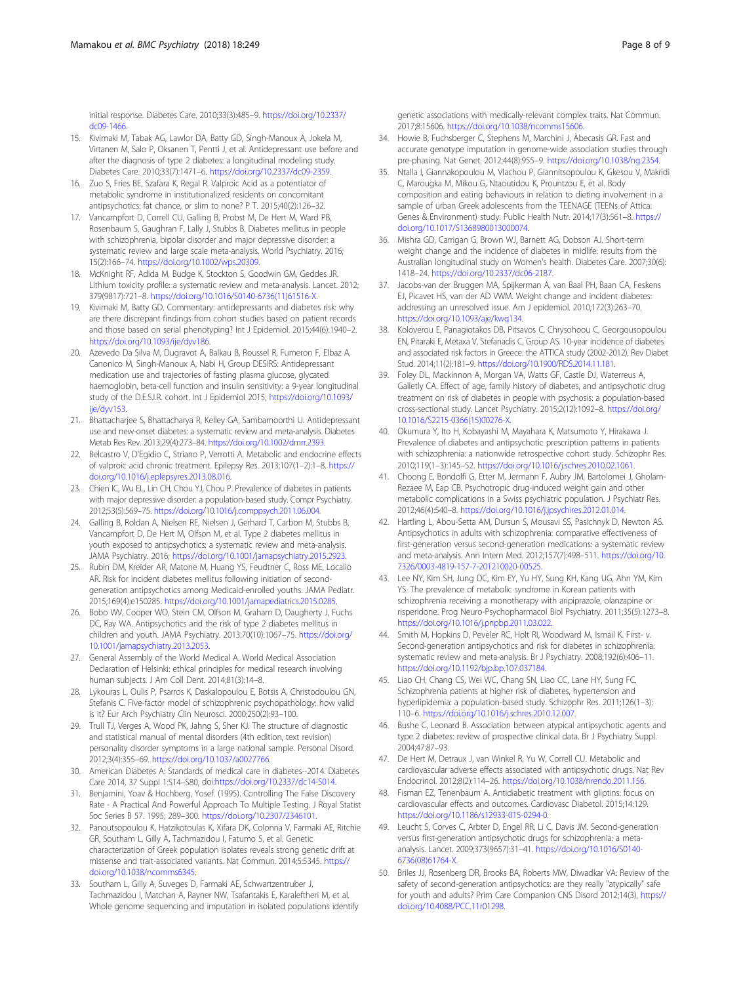<span id="page-7-0"></span>initial response. Diabetes Care. 2010;33(3):485–9. [https://doi.org/10.2337/](https://doi.org/10.2337/dc09-1466) [dc09-1466](https://doi.org/10.2337/dc09-1466).

- 15. Kivimaki M, Tabak AG, Lawlor DA, Batty GD, Singh-Manoux A, Jokela M, Virtanen M, Salo P, Oksanen T, Pentti J, et al. Antidepressant use before and after the diagnosis of type 2 diabetes: a longitudinal modeling study. Diabetes Care. 2010;33(7):1471–6. <https://doi.org/10.2337/dc09-2359>.
- 16. Zuo S, Fries BE, Szafara K, Regal R. Valproic Acid as a potentiator of metabolic syndrome in institutionalized residents on concomitant antipsychotics: fat chance, or slim to none? P T. 2015;40(2):126–32.
- 17. Vancampfort D, Correll CU, Galling B, Probst M, De Hert M, Ward PB, Rosenbaum S, Gaughran F, Lally J, Stubbs B. Diabetes mellitus in people with schizophrenia, bipolar disorder and major depressive disorder: a systematic review and large scale meta-analysis. World Psychiatry. 2016; 15(2):166–74. [https://doi.org/10.1002/wps.20309.](https://doi.org/10.1002/wps.20309)
- 18. McKnight RF, Adida M, Budge K, Stockton S, Goodwin GM, Geddes JR. Lithium toxicity profile: a systematic review and meta-analysis. Lancet. 2012; 379(9817):721–8. [https://doi.org/10.1016/S0140-6736\(11\)61516-X](https://doi.org/10.1016/S0140-6736(11)61516-X).
- 19. Kivimaki M, Batty GD. Commentary: antidepressants and diabetes risk: why are there discrepant findings from cohort studies based on patient records and those based on serial phenotyping? Int J Epidemiol. 2015;44(6):1940–2. <https://doi.org/10.1093/ije/dyv186>.
- 20. Azevedo Da Silva M, Dugravot A, Balkau B, Roussel R, Fumeron F, Elbaz A, Canonico M, Singh-Manoux A, Nabi H, Group DESIRS: Antidepressant medication use and trajectories of fasting plasma glucose, glycated haemoglobin, beta-cell function and insulin sensitivity: a 9-year longitudinal study of the D.E.S.I.R. cohort. Int J Epidemiol 2015, [https://doi.org/10.1093/](https://doi.org/10.1093/ije/dyv153) [ije/dyv153.](https://doi.org/10.1093/ije/dyv153)
- 21. Bhattacharjee S, Bhattacharya R, Kelley GA, Sambamoorthi U. Antidepressant use and new-onset diabetes: a systematic review and meta-analysis. Diabetes Metab Res Rev. 2013;29(4):273–84. <https://doi.org/10.1002/dmrr.2393>.
- 22. Belcastro V, D'Egidio C, Striano P, Verrotti A. Metabolic and endocrine effects of valproic acid chronic treatment. Epilepsy Res. 2013;107(1–2):1–8. [https://](https://doi.org/10.1016/j.eplepsyres.2013.08.016) [doi.org/10.1016/j.eplepsyres.2013.08.016](https://doi.org/10.1016/j.eplepsyres.2013.08.016).
- 23. Chien IC, Wu EL, Lin CH, Chou YJ, Chou P. Prevalence of diabetes in patients with major depressive disorder: a population-based study. Compr Psychiatry. 2012;53(5):569–75. [https://doi.org/10.1016/j.comppsych.2011.06.004.](https://doi.org/10.1016/j.comppsych.2011.06.004)
- 24. Galling B, Roldan A, Nielsen RE, Nielsen J, Gerhard T, Carbon M, Stubbs B, Vancampfort D, De Hert M, Olfson M, et al. Type 2 diabetes mellitus in youth exposed to antipsychotics: a systematic review and meta-analysis. JAMA Psychiatry. 2016; [https://doi.org/10.1001/jamapsychiatry.2015.2923.](https://doi.org/10.1001/jamapsychiatry.2015.2923)
- 25. Rubin DM, Kreider AR, Matone M, Huang YS, Feudtner C, Ross ME, Localio AR. Risk for incident diabetes mellitus following initiation of secondgeneration antipsychotics among Medicaid-enrolled youths. JAMA Pediatr. 2015;169(4):e150285. <https://doi.org/10.1001/jamapediatrics.2015.0285>.
- 26. Bobo WV, Cooper WO, Stein CM, Olfson M, Graham D, Daugherty J, Fuchs DC, Ray WA. Antipsychotics and the risk of type 2 diabetes mellitus in children and youth. JAMA Psychiatry. 2013;70(10):1067–75. [https://doi.org/](https://doi.org/10.1001/jamapsychiatry.2013.2053) [10.1001/jamapsychiatry.2013.2053.](https://doi.org/10.1001/jamapsychiatry.2013.2053)
- 27. General Assembly of the World Medical A. World Medical Association Declaration of Helsinki: ethical principles for medical research involving human subjects. J Am Coll Dent. 2014;81(3):14–8.
- 28. Lykouras L, Oulis P, Psarros K, Daskalopoulou E, Botsis A, Christodoulou GN, Stefanis C. Five-factor model of schizophrenic psychopathology: how valid is it? Eur Arch Psychiatry Clin Neurosci. 2000;250(2):93–100.
- 29. Trull TJ, Verges A, Wood PK, Jahng S, Sher KJ. The structure of diagnostic and statistical manual of mental disorders (4th edition, text revision) personality disorder symptoms in a large national sample. Personal Disord. 2012;3(4):355–69. [https://doi.org/10.1037/a0027766.](https://doi.org/10.1037/a0027766)
- 30. American Diabetes A: Standards of medical care in diabetes--2014. Diabetes Care 2014, 37 Suppl 1:S14–S80, doi:<https://doi.org/10.2337/dc14-S014>.
- 31. Benjamini, Yoav & Hochberg, Yosef. (1995). Controlling The False Discovery Rate - A Practical And Powerful Approach To Multiple Testing. J Royal Statist Soc Series B 57. 1995; 289–300. [https://doi.org/10.2307/2346101.](https://doi.org/10.2307/2346101)
- 32. Panoutsopoulou K, Hatzikotoulas K, Xifara DK, Colonna V, Farmaki AE, Ritchie GR, Southam L, Gilly A, Tachmazidou I, Fatumo S, et al. Genetic characterization of Greek population isolates reveals strong genetic drift at missense and trait-associated variants. Nat Commun. 2014;5:5345. [https://](https://doi.org/10.1038/ncomms6345) [doi.org/10.1038/ncomms6345.](https://doi.org/10.1038/ncomms6345)
- 33. Southam L, Gilly A, Suveges D, Farmaki AE, Schwartzentruber J, Tachmazidou I, Matchan A, Rayner NW, Tsafantakis E, Karaleftheri M, et al. Whole genome sequencing and imputation in isolated populations identify

genetic associations with medically-relevant complex traits. Nat Commun. 2017;8:15606. [https://doi.org/10.1038/ncomms15606.](https://doi.org/10.1038/ncomms15606)

- 34. Howie B, Fuchsberger C, Stephens M, Marchini J, Abecasis GR. Fast and accurate genotype imputation in genome-wide association studies through pre-phasing. Nat Genet. 2012;44(8):955–9. [https://doi.org/10.1038/ng.2354.](https://doi.org/10.1038/ng.2354)
- 35. Ntalla I, Giannakopoulou M, Vlachou P, Giannitsopoulou K, Gkesou V, Makridi C, Marougka M, Mikou G, Ntaoutidou K, Prountzou E, et al. Body composition and eating behaviours in relation to dieting involvement in a sample of urban Greek adolescents from the TEENAGE (TEENs of Attica: Genes & Environment) study. Public Health Nutr. 2014;17(3):561–8. [https://](https://doi.org/10.1017/S1368980013000074) [doi.org/10.1017/S1368980013000074](https://doi.org/10.1017/S1368980013000074).
- 36. Mishra GD, Carrigan G, Brown WJ, Barnett AG, Dobson AJ. Short-term weight change and the incidence of diabetes in midlife: results from the Australian longitudinal study on Women's health. Diabetes Care. 2007;30(6): 1418–24. [https://doi.org/10.2337/dc06-2187.](https://doi.org/10.2337/dc06-2187)
- 37. Jacobs-van der Bruggen MA, Spijkerman A, van Baal PH, Baan CA, Feskens EJ, Picavet HS, van der AD VWM. Weight change and incident diabetes: addressing an unresolved issue. Am J epidemiol. 2010;172(3):263–70. [https://doi.org/10.1093/aje/kwq134.](https://doi.org/10.1093/aje/kwq134)
- 38. Koloverou E, Panagiotakos DB, Pitsavos C, Chrysohoou C, Georgousopoulou EN, Pitaraki E, Metaxa V, Stefanadis C, Group AS. 10-year incidence of diabetes and associated risk factors in Greece: the ATTICA study (2002-2012). Rev Diabet Stud. 2014;11(2):181–9. [https://doi.org/10.1900/RDS.2014.11.181.](https://doi.org/10.1900/RDS.2014.11.181)
- 39. Foley DL, Mackinnon A, Morgan VA, Watts GF, Castle DJ, Waterreus A, Galletly CA. Effect of age, family history of diabetes, and antipsychotic drug treatment on risk of diabetes in people with psychosis: a population-based cross-sectional study. Lancet Psychiatry. 2015;2(12):1092–8. [https://doi.org/](https://doi.org/10.1016/S2215-0366(15)00276-X) [10.1016/S2215-0366\(15\)00276-X](https://doi.org/10.1016/S2215-0366(15)00276-X).
- 40. Okumura Y, Ito H, Kobayashi M, Mayahara K, Matsumoto Y, Hirakawa J. Prevalence of diabetes and antipsychotic prescription patterns in patients with schizophrenia: a nationwide retrospective cohort study. Schizophr Res. 2010;119(1–3):145–52. <https://doi.org/10.1016/j.schres.2010.02.1061>.
- 41. Choong E, Bondolfi G, Etter M, Jermann F, Aubry JM, Bartolomei J, Gholam-Rezaee M, Eap CB. Psychotropic drug-induced weight gain and other metabolic complications in a Swiss psychiatric population. J Psychiatr Res. 2012;46(4):540–8. [https://doi.org/10.1016/j.jpsychires.2012.01.014.](https://doi.org/10.1016/j.jpsychires.2012.01.014)
- 42. Hartling L, Abou-Setta AM, Dursun S, Mousavi SS, Pasichnyk D, Newton AS. Antipsychotics in adults with schizophrenia: comparative effectiveness of first-generation versus second-generation medications: a systematic review and meta-analysis. Ann Intern Med. 2012;157(7):498–511. [https://doi.org/10.](https://doi.org/10.7326/0003-4819-157-7-201210020-00525) [7326/0003-4819-157-7-201210020-00525.](https://doi.org/10.7326/0003-4819-157-7-201210020-00525)
- 43. Lee NY, Kim SH, Jung DC, Kim EY, Yu HY, Sung KH, Kang UG, Ahn YM, Kim YS. The prevalence of metabolic syndrome in Korean patients with schizophrenia receiving a monotherapy with aripiprazole, olanzapine or risperidone. Prog Neuro-Psychopharmacol Biol Psychiatry. 2011;35(5):1273–8. <https://doi.org/10.1016/j.pnpbp.2011.03.022>.
- 44. Smith M, Hopkins D, Peveler RC, Holt RI, Woodward M, Ismail K. First- v. Second-generation antipsychotics and risk for diabetes in schizophrenia: systematic review and meta-analysis. Br J Psychiatry. 2008;192(6):406–11. <https://doi.org/10.1192/bjp.bp.107.037184>.
- 45. Liao CH, Chang CS, Wei WC, Chang SN, Liao CC, Lane HY, Sung FC. Schizophrenia patients at higher risk of diabetes, hypertension and hyperlipidemia: a population-based study. Schizophr Res. 2011;126(1–3): 110–6. [https://doi.org/10.1016/j.schres.2010.12.007.](https://doi.org/10.1016/j.schres.2010.12.007)
- 46. Bushe C, Leonard B. Association between atypical antipsychotic agents and type 2 diabetes: review of prospective clinical data. Br J Psychiatry Suppl. 2004;47:87–93.
- 47. De Hert M, Detraux J, van Winkel R, Yu W, Correll CU. Metabolic and cardiovascular adverse effects associated with antipsychotic drugs. Nat Rev Endocrinol. 2012;8(2):114–26. <https://doi.org/10.1038/nrendo.2011.156>.
- 48. Fisman EZ, Tenenbaum A. Antidiabetic treatment with gliptins: focus on cardiovascular effects and outcomes. Cardiovasc Diabetol. 2015;14:129. <https://doi.org/10.1186/s12933-015-0294-0>.
- 49. Leucht S, Corves C, Arbter D, Engel RR, Li C, Davis JM. Second-generation versus first-generation antipsychotic drugs for schizophrenia: a metaanalysis. Lancet. 2009;373(9657):31–41. [https://doi.org/10.1016/S0140-](https://doi.org/10.1016/S0140-6736(08)61764-X) [6736\(08\)61764-X.](https://doi.org/10.1016/S0140-6736(08)61764-X)
- 50. Briles JJ, Rosenberg DR, Brooks BA, Roberts MW, Diwadkar VA: Review of the safety of second-generation antipsychotics: are they really "atypically" safe for youth and adults? Prim Care Companion CNS Disord 2012;14(3), [https://](https://doi.org/10.4088/PCC.11r01298) [doi.org/10.4088/PCC.11r01298](https://doi.org/10.4088/PCC.11r01298).